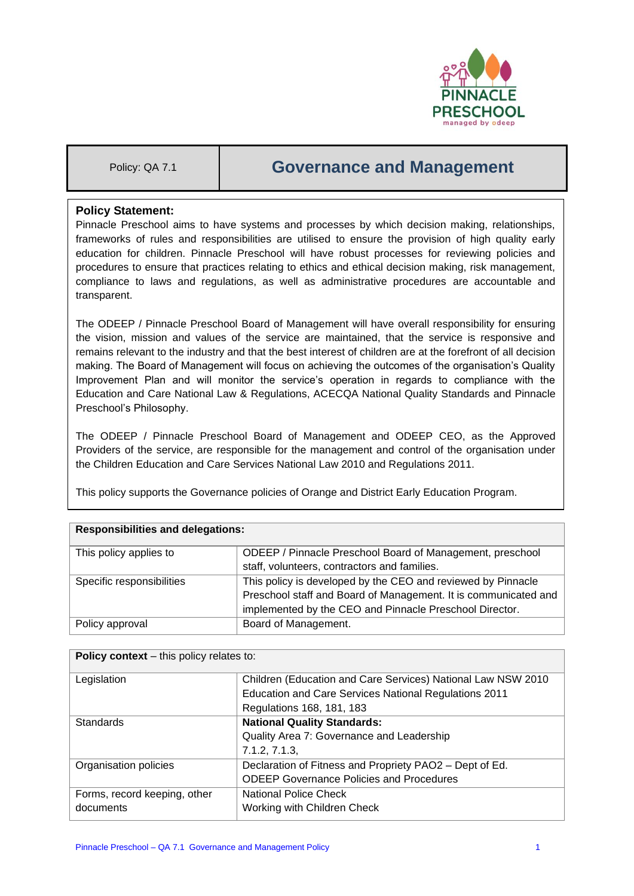

# Policy: QA 7.1 **Governance and Management**

# **Policy Statement:**

Pinnacle Preschool aims to have systems and processes by which decision making, relationships, frameworks of rules and responsibilities are utilised to ensure the provision of high quality early education for children. Pinnacle Preschool will have robust processes for reviewing policies and procedures to ensure that practices relating to ethics and ethical decision making, risk management, compliance to laws and regulations, as well as administrative procedures are accountable and transparent.

The ODEEP / Pinnacle Preschool Board of Management will have overall responsibility for ensuring the vision, mission and values of the service are maintained, that the service is responsive and remains relevant to the industry and that the best interest of children are at the forefront of all decision making. The Board of Management will focus on achieving the outcomes of the organisation's Quality Improvement Plan and will monitor the service's operation in regards to compliance with the Education and Care National Law & Regulations, ACECQA National Quality Standards and Pinnacle Preschool's Philosophy.

The ODEEP / Pinnacle Preschool Board of Management and ODEEP CEO, as the Approved Providers of the service, are responsible for the management and control of the organisation under the Children Education and Care Services National Law 2010 and Regulations 2011.

This policy supports the Governance policies of Orange and District Early Education Program.

| <b>Responsibilities and delegations:</b> |                                                                 |  |
|------------------------------------------|-----------------------------------------------------------------|--|
| This policy applies to                   | ODEEP / Pinnacle Preschool Board of Management, preschool       |  |
|                                          | staff, volunteers, contractors and families.                    |  |
| Specific responsibilities                | This policy is developed by the CEO and reviewed by Pinnacle    |  |
|                                          | Preschool staff and Board of Management. It is communicated and |  |
|                                          | implemented by the CEO and Pinnacle Preschool Director.         |  |
| Policy approval                          | Board of Management.                                            |  |
|                                          |                                                                 |  |

| <b>Policy context</b> – this policy relates to: |                                                              |  |  |
|-------------------------------------------------|--------------------------------------------------------------|--|--|
| Legislation                                     | Children (Education and Care Services) National Law NSW 2010 |  |  |
|                                                 | Education and Care Services National Regulations 2011        |  |  |
|                                                 | Regulations 168, 181, 183                                    |  |  |
| Standards                                       | <b>National Quality Standards:</b>                           |  |  |
|                                                 | Quality Area 7: Governance and Leadership                    |  |  |
|                                                 | 7.1.2, 7.1.3,                                                |  |  |
| Organisation policies                           | Declaration of Fitness and Propriety PAO2 - Dept of Ed.      |  |  |
|                                                 | <b>ODEEP Governance Policies and Procedures</b>              |  |  |
| Forms, record keeping, other                    | National Police Check                                        |  |  |
| documents                                       | Working with Children Check                                  |  |  |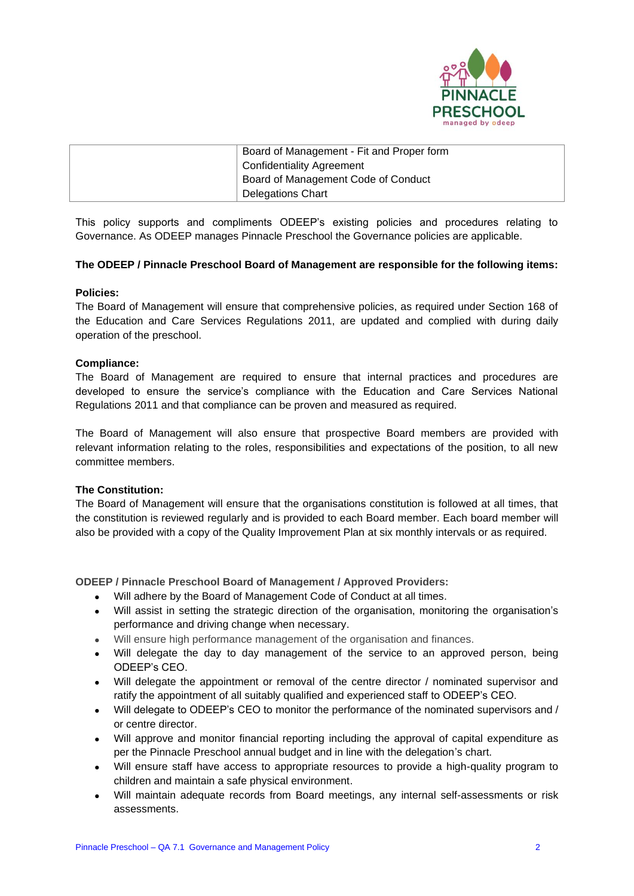

| Board of Management - Fit and Proper form |
|-------------------------------------------|
| <sup>1</sup> Confidentiality Agreement    |
| Board of Management Code of Conduct       |
| Delegations Chart                         |

This policy supports and compliments ODEEP's existing policies and procedures relating to Governance. As ODEEP manages Pinnacle Preschool the Governance policies are applicable.

## **The ODEEP / Pinnacle Preschool Board of Management are responsible for the following items:**

## **Policies:**

The Board of Management will ensure that comprehensive policies, as required under Section 168 of the Education and Care Services Regulations 2011, are updated and complied with during daily operation of the preschool.

# **Compliance:**

The Board of Management are required to ensure that internal practices and procedures are developed to ensure the service's compliance with the Education and Care Services National Regulations 2011 and that compliance can be proven and measured as required.

The Board of Management will also ensure that prospective Board members are provided with relevant information relating to the roles, responsibilities and expectations of the position, to all new committee members.

## **The Constitution:**

The Board of Management will ensure that the organisations constitution is followed at all times, that the constitution is reviewed regularly and is provided to each Board member. Each board member will also be provided with a copy of the Quality Improvement Plan at six monthly intervals or as required.

## **ODEEP / Pinnacle Preschool Board of Management / Approved Providers:**

- Will adhere by the Board of Management Code of Conduct at all times.
- Will assist in setting the strategic direction of the organisation, monitoring the organisation's performance and driving change when necessary.
- Will ensure high performance management of the organisation and finances.
- Will delegate the day to day management of the service to an approved person, being ODEEP's CEO.
- Will delegate the appointment or removal of the centre director / nominated supervisor and ratify the appointment of all suitably qualified and experienced staff to ODEEP's CEO.
- Will delegate to ODEEP's CEO to monitor the performance of the nominated supervisors and / or centre director.
- Will approve and monitor financial reporting including the approval of capital expenditure as per the Pinnacle Preschool annual budget and in line with the delegation's chart.
- Will ensure staff have access to appropriate resources to provide a high-quality program to children and maintain a safe physical environment.
- Will maintain adequate records from Board meetings, any internal self-assessments or risk assessments.